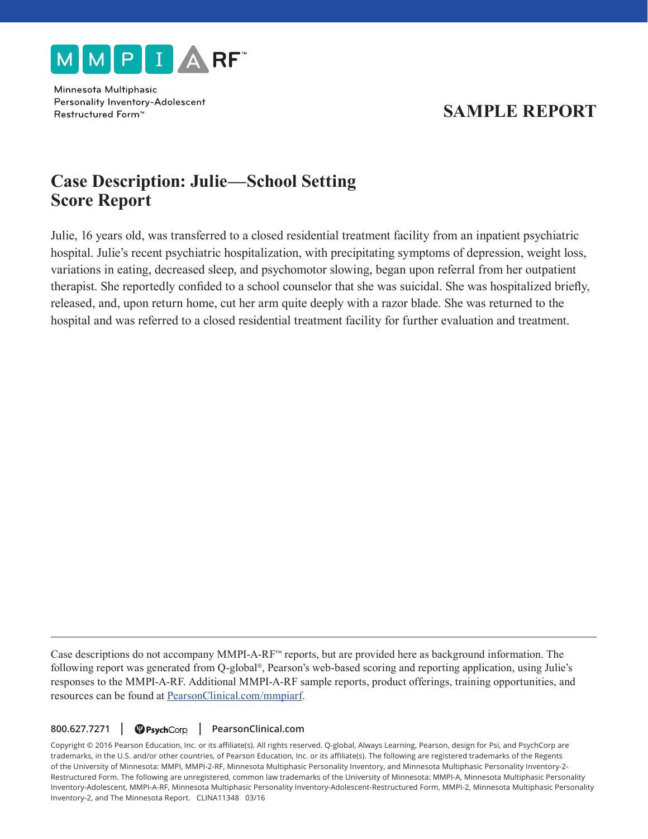

Minnesota Multiphasic Personality Inventory-Adolescent Restructured Form<sup>™</sup>

# **SAMPLE REPORT**

# **Case Description: Julie—School Setting Score Report**

Julie, 16 years old, was transferred to a closed residential treatment facility from an inpatient psychiatric hospital. Julie's recent psychiatric hospitalization, with precipitating symptoms of depression, weight loss, variations in eating, decreased sleep, and psychomotor slowing, began upon referral from her outpatient therapist. She reportedly confided to a school counselor that she was suicidal. She was hospitalized briefly, released, and, upon return home, cut her arm quite deeply with a razor blade. She was returned to the hospital and was referred to a closed residential treatment facility for further evaluation and treatment.

Case descriptions do not accompany MMPI-A-RF™ reports, but are provided here as background information. The following report was generated from Q-global®, Pearson's web-based scoring and reporting application, using Julie's responses to the MMPI-A-RF. Additional MMPI-A-RF sample reports, product offerings, training opportunities, and resources can be found at PearsonClinical.com/mmpiarf.

800.627.7271 | PearsonClinical.com

Copyright © 2016 Pearson Education, Inc. or its affiliate(s). All rights reserved. Q-global, Always Learning, Pearson, design for Psi, and PsychCorp are trademarks, in the U.S. and/or other countries, of Pearson Education, Inc. or its affiliate(s). The following are registered trademarks of the Regents of the University of Minnesota: MMPI, MMPI-2-RF, Minnesota Multiphasic Personality Inventory, and Minnesota Multiphasic Personality Inventory-2- Restructured Form. The following are unregistered, common law trademarks of the University of Minnesota: MMPI-A, Minnesota Multiphasic Personality Inventory-Adolescent, MMPI-A-RF, Minnesota Multiphasic Personality Inventory-Adolescent-Restructured Form, MMPI-2, Minnesota Multiphasic Personality Inventory-2, and The Minnesota Report. CLINA11348 03/16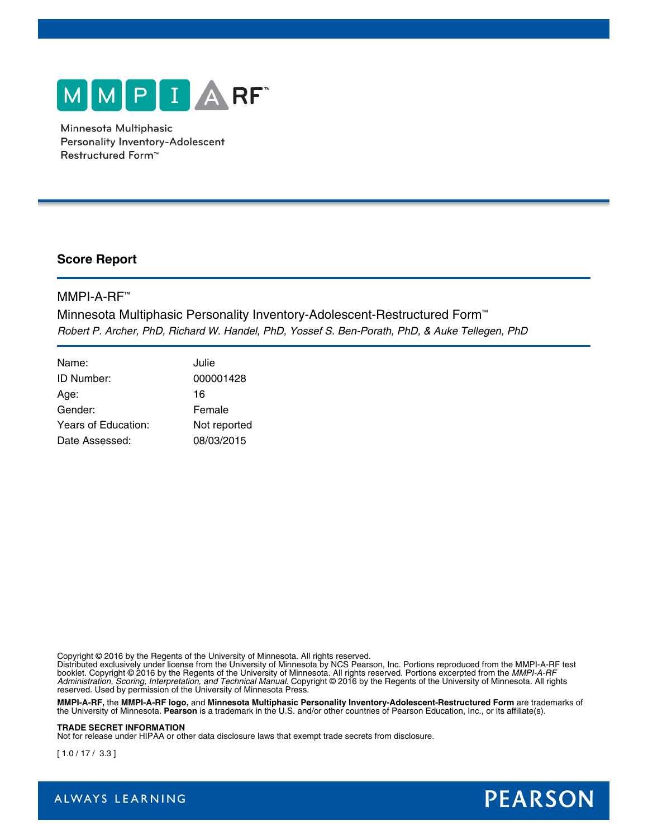

Minnesota Multiphasic Personality Inventory-Adolescent Restructured Form<sup>™</sup>

### **Score Report**

### MMPI-A-RF™

Minnesota Multiphasic Personality Inventory-Adolescent-Restructured Form™ *Robert P. Archer, PhD, Richard W. Handel, PhD, Yossef S. Ben-Porath, PhD, & Auke Tellegen, PhD*

| Name:               | Julie        |
|---------------------|--------------|
| ID Number:          | 000001428    |
| Age:                | 16           |
| Gender:             | Female       |
| Years of Education: | Not reported |
| Date Assessed:      | 08/03/2015   |

Copyright © 2016 by the Regents of the University of Minnesota. All rights reserved.

Distributed exclusively under license from the University of Minnesota by NCS Pearson, Inc. Portions reproduced from the MMPI-A-RF test booklet. Copyright © 2016 by the Regents of the University of Minnesota. All rights reserved. Portions excerpted from the *MMPI-A-RF Administration, Scoring, Interpretation, and Technical Manual*. Copyright © 2016 by the Regents of the University of Minnesota. All rights reserved. Used by permission of the University of Minnesota Press.

**MMPI-A-RF,** the **MMPI-A-RF logo,** and **Minnesota Multiphasic Personality Inventory-Adolescent-Restructured Form** are trademarks of the University of Minnesota. **Pearson** is a trademark in the U.S. and/or other countries of Pearson Education, Inc., or its affiliate(s).

#### **TRADE SECRET INFORMATION**

Not for release under HIPAA or other data disclosure laws that exempt trade secrets from disclosure.

[ 1.0 / 17 / 3.3 ]



ALWAYS LEARNING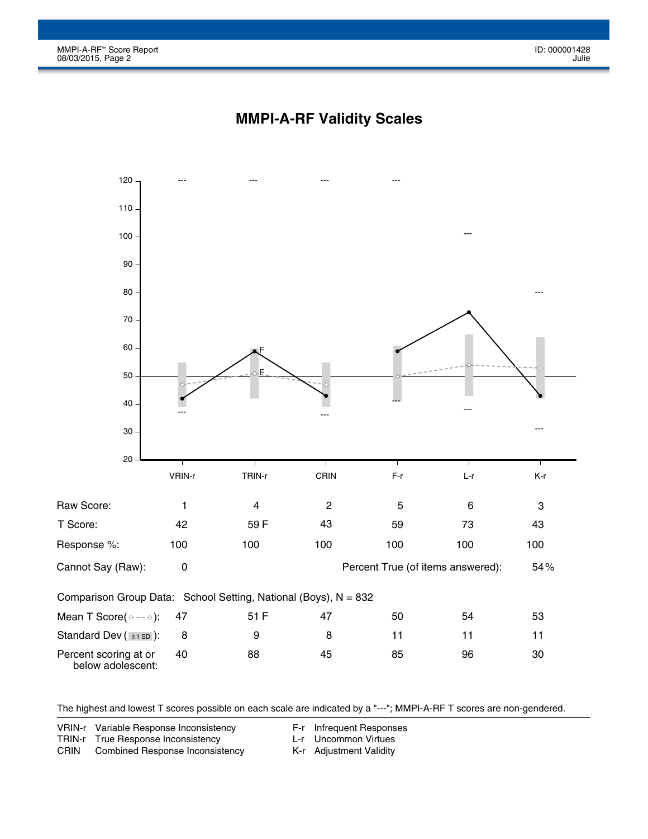

## **MMPI-A-RF Validity Scales**

The highest and lowest T scores possible on each scale are indicated by a "---"; MMPI-A-RF T scores are non-gendered.

VRIN-r Variable Response Inconsistency

F-r Infrequent Responses

TRIN-r True Response Inconsistency

L-r Uncommon Virtues

CRIN Combined Response Inconsistency K-r Adjustment Validity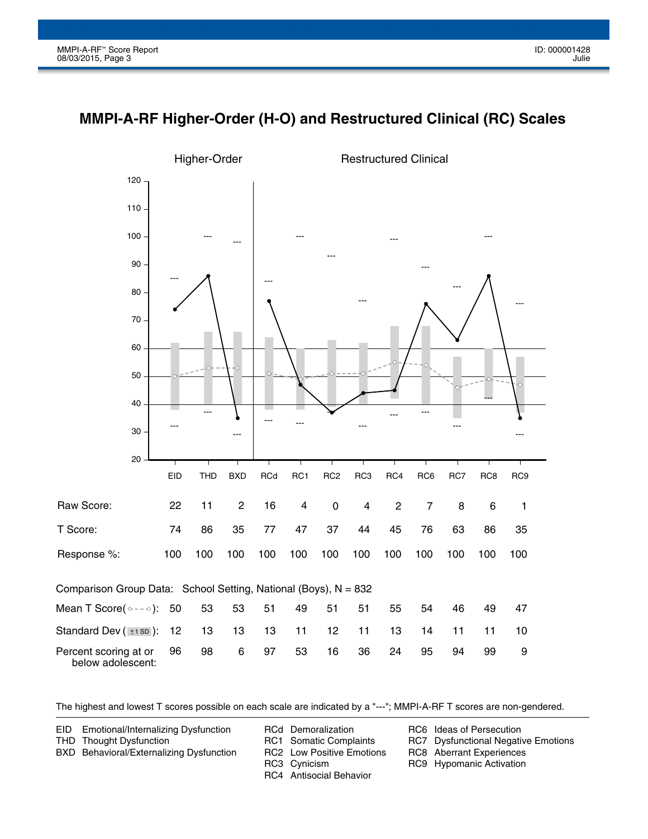



The highest and lowest T scores possible on each scale are indicated by a "---"; MMPI-A-RF T scores are non-gendered.

EID Emotional/Internalizing Dysfunction

RCd Demoralization

THD Thought Dysfunction BXD Behavioral/Externalizing Dysfunction RC1 Somatic Complaints

RC2 Low Positive Emotions

RC3 Cynicism

RC4 Antisocial Behavior

RC6 Ideas of Persecution

RC7 Dysfunctional Negative Emotions

RC8 Aberrant Experiences

RC9 Hypomanic Activation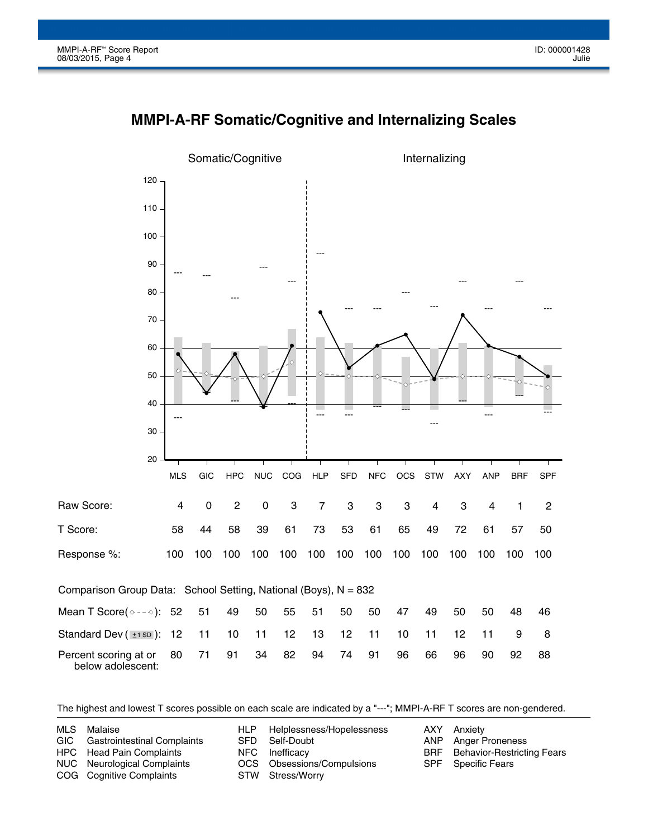



The highest and lowest T scores possible on each scale are indicated by a "---"; MMPI-A-RF T scores are non-gendered.

| MLS | Malaise                         | HLP Helplessness/Hopelessness | AXY Anxiety                           |
|-----|---------------------------------|-------------------------------|---------------------------------------|
|     | GIC Gastrointestinal Complaints | SFD Self-Doubt                | ANP Anger Proneness                   |
|     | <b>HPC</b> Head Pain Complaints | NFC Inefficacy                | <b>BRF</b> Behavior-Restricting Fears |
|     | NUC Neurological Complaints     | OCS Obsessions/Compulsions    | <b>SPF</b> Specific Fears             |
|     | COG Cognitive Complaints        | STW Stress/Worry              |                                       |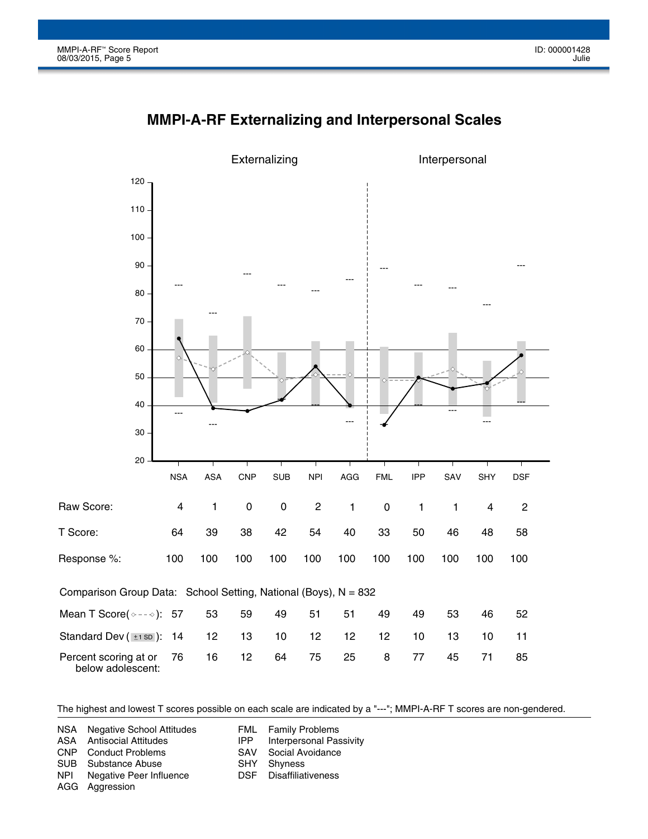

# **MMPI-A-RF Externalizing and Interpersonal Scales**

The highest and lowest T scores possible on each scale are indicated by a "---"; MMPI-A-RF T scores are non-gendered.

FML IPP SAV SHY DSF Family Problems Interpersonal Passivity Social Avoidance Shyness Disaffiliativeness NSA ASA CNP SUB NPI AGG Aggression Negative School Attitudes Antisocial Attitudes Conduct Problems Substance Abuse Negative Peer Influence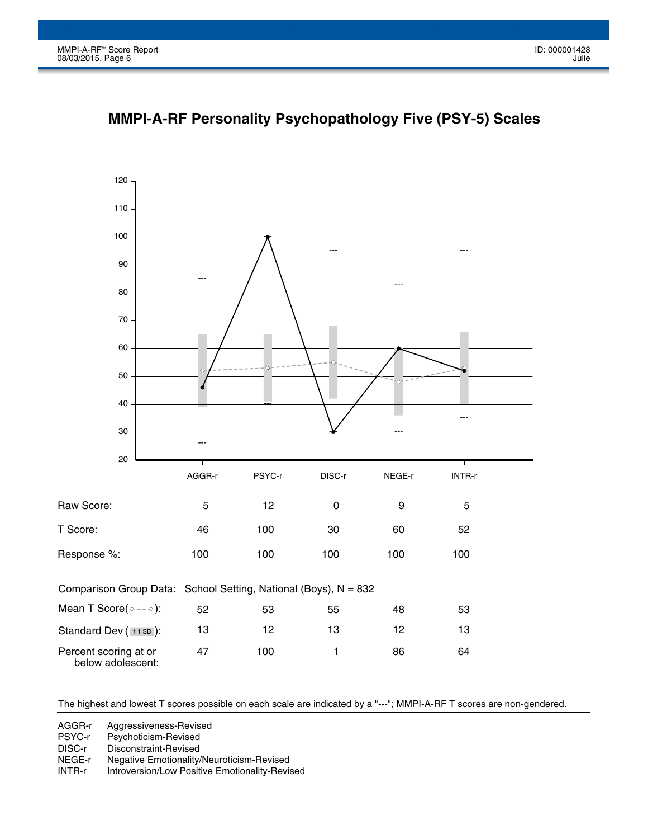

**MMPI-A-RF Personality Psychopathology Five (PSY-5) Scales**

The highest and lowest T scores possible on each scale are indicated by a "---"; MMPI-A-RF T scores are non-gendered.

AGGR-r Aggressiveness-Revised

PSYC-r Psychoticism-Revised

DISC-r Disconstraint-Revised

NEGE-r Negative Emotionality/Neuroticism-Revised

INTR-r Introversion/Low Positive Emotionality-Revised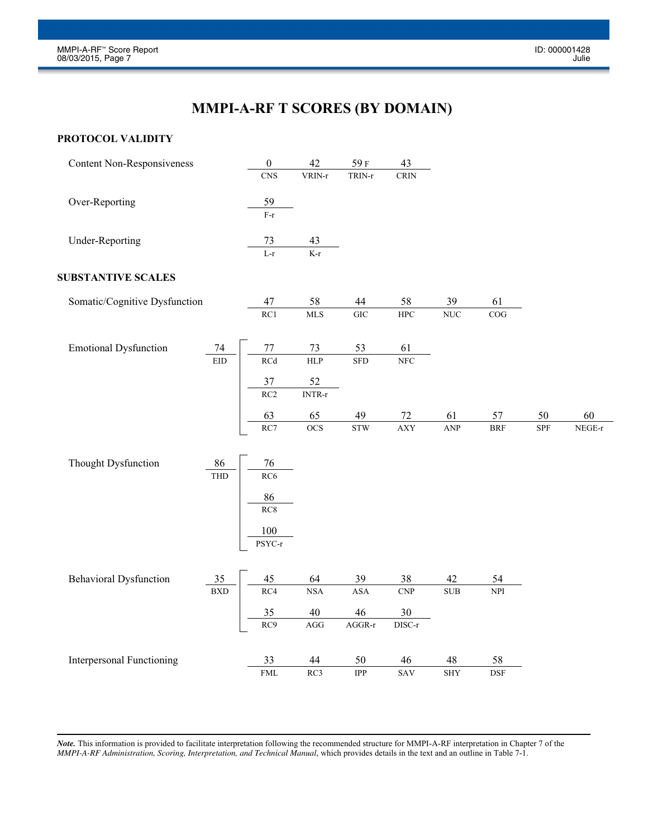# **MMPI-A-RF T SCORES (BY DOMAIN)**

#### **PROTOCOL VALIDITY**

| <b>Content Non-Responsiveness</b> |            | $\boldsymbol{0}$                 | 42                                  | 59F        | 43                    |            |            |            |          |
|-----------------------------------|------------|----------------------------------|-------------------------------------|------------|-----------------------|------------|------------|------------|----------|
|                                   |            | <b>CNS</b>                       | VRIN-r                              | TRIN-r     | <b>CRIN</b>           |            |            |            |          |
| Over-Reporting                    |            | 59                               |                                     |            |                       |            |            |            |          |
|                                   |            | $\overline{\mathbf{F}\text{-r}}$ |                                     |            |                       |            |            |            |          |
| <b>Under-Reporting</b>            |            | 73                               | 43                                  |            |                       |            |            |            |          |
|                                   |            | $L-r$                            | $K-r$                               |            |                       |            |            |            |          |
| <b>SUBSTANTIVE SCALES</b>         |            |                                  |                                     |            |                       |            |            |            |          |
| Somatic/Cognitive Dysfunction     |            | 47                               | 58                                  | 44         | 58                    | 39         | 61         |            |          |
|                                   |            | RC1                              | <b>MLS</b>                          | <b>GIC</b> | ${\rm HPC}$           | $\rm NUC$  | COG        |            |          |
| <b>Emotional Dysfunction</b>      | $74\,$     | $77\,$                           | 73                                  | 53         | 61                    |            |            |            |          |
|                                   | <b>EID</b> | RCd                              | <b>HLP</b>                          | <b>SFD</b> | NFC                   |            |            |            |          |
|                                   |            | 37                               | 52                                  |            |                       |            |            |            |          |
|                                   |            | RC2                              | $\ensuremath{\text{INTR-}r}\xspace$ |            |                       |            |            |            |          |
|                                   |            | 63                               | 65                                  | 49         | $72\,$                | 61         | 57         | 50         | 60       |
|                                   |            | RC7                              | $\overline{OCS}$                    | <b>STW</b> | <b>AXY</b>            | ANP        | $\rm{BRF}$ | <b>SPF</b> | $NEGE-r$ |
| Thought Dysfunction               | 86         | 76                               |                                     |            |                       |            |            |            |          |
|                                   | THD        | RC <sub>6</sub>                  |                                     |            |                       |            |            |            |          |
|                                   |            | 86                               |                                     |            |                       |            |            |            |          |
|                                   |            | RC8                              |                                     |            |                       |            |            |            |          |
|                                   |            | 100                              |                                     |            |                       |            |            |            |          |
|                                   |            | PSYC-r                           |                                     |            |                       |            |            |            |          |
| <b>Behavioral Dysfunction</b>     | 35         | 45                               | 64                                  | 39         | 38                    | 42         | 54         |            |          |
|                                   | <b>BXD</b> | RC4                              | <b>NSA</b>                          | <b>ASA</b> | <b>CNP</b>            | $\rm SUB$  | <b>NPI</b> |            |          |
|                                   |            | 35                               | $40\,$                              | 46         | 30                    |            |            |            |          |
|                                   |            | RC9                              | AGG                                 | $AGGR-r$   | ${\rm DISC\text{-}r}$ |            |            |            |          |
| <b>Interpersonal Functioning</b>  |            | 33                               | 44                                  | 50         | 46                    | 48         | 58         |            |          |
|                                   |            | ${\rm FML}$                      | RC3                                 | IPP        | SAV                   | <b>SHY</b> | <b>DSF</b> |            |          |
|                                   |            |                                  |                                     |            |                       |            |            |            |          |

*Note.* This information is provided to facilitate interpretation following the recommended structure for MMPI-A-RF interpretation in Chapter 7 of the *MMPI-A-RF Administration, Scoring, Interpretation, and Technical Manual, which provides details in the text and an outline in Table 7-1.*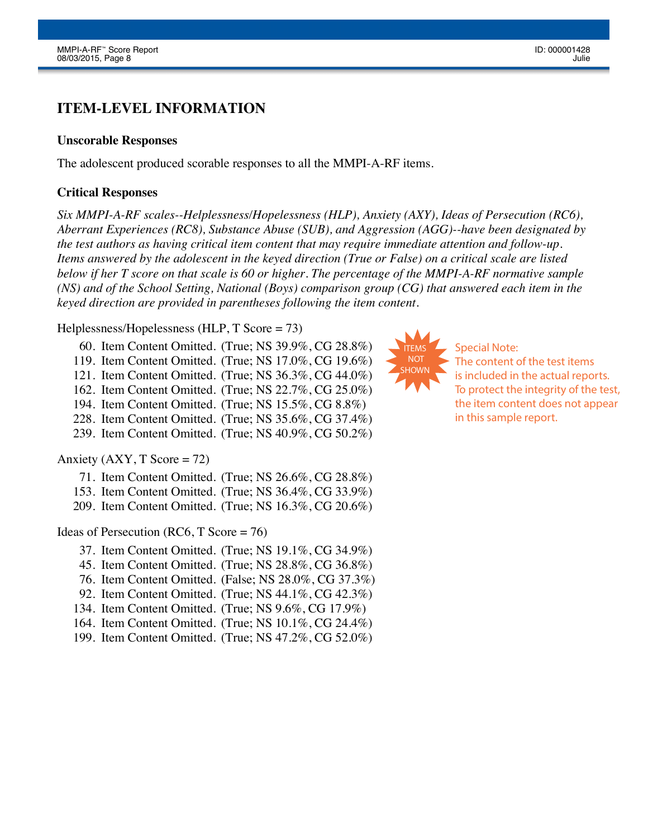## **ITEM-LEVEL INFORMATION**

#### **Unscorable Responses**

The adolescent produced scorable responses to all the MMPI-A-RF items.

#### **Critical Responses**

*Six MMPI-A-RF scales--Helplessness/Hopelessness (HLP), Anxiety (AXY), Ideas of Persecution (RC6), Aberrant Experiences (RC8), Substance Abuse (SUB), and Aggression (AGG)--have been designated by the test authors as having critical item content that may require immediate attention and follow-up. Items answered by the adolescent in the keyed direction (True or False) on a critical scale are listed below if her T score on that scale is 60 or higher. The percentage of the MMPI-A-RF normative sample (NS) and of the School Setting, National (Boys) comparison group (CG) that answered each item in the keyed direction are provided in parentheses following the item content.*

#### Helplessness/Hopelessness (HLP, T Score = 73)

60. Item Content Omitted. (True; NS 39.9%, CG 28.8%) 119. Item Content Omitted. (True; NS 17.0%, CG 19.6%) 121. Item Content Omitted. (True; NS 36.3%, CG 44.0%) 162. Item Content Omitted. (True; NS 22.7%, CG 25.0%) 194. Item Content Omitted. (True; NS 15.5%, CG 8.8%) 228. Item Content Omitted. (True; NS 35.6%, CG 37.4%)

239. Item Content Omitted. (True; NS 40.9%, CG 50.2%)

#### Anxiety  $(AXY, T \text{ Score} = 72)$

| 71. Item Content Omitted. (True; NS $26.6\%$ , CG $28.8\%$ ) |  |
|--------------------------------------------------------------|--|
| 153. Item Content Omitted. (True; NS 36.4%, CG 33.9%)        |  |
| 209. Item Content Omitted. (True: NS 16.3%, CG 20.6%)        |  |

#### Ideas of Persecution (RC6, T Score = 76)

- 37. Item Content Omitted. (True; NS 19.1%, CG 34.9%)
- 45. Item Content Omitted. (True; NS 28.8%, CG 36.8%)
- 76. Item Content Omitted. (False; NS 28.0%, CG 37.3%)
- 92. Item Content Omitted. (True; NS 44.1%, CG 42.3%)
- 134. Item Content Omitted. (True; NS 9.6%, CG 17.9%)
- 164. Item Content Omitted. (True; NS 10.1%, CG 24.4%)
- 199. Item Content Omitted. (True; NS 47.2%, CG 52.0%)



Special Note: The content of the test items is included in the actual reports. To protect the integrity of the test, the item content does not appear in this sample report.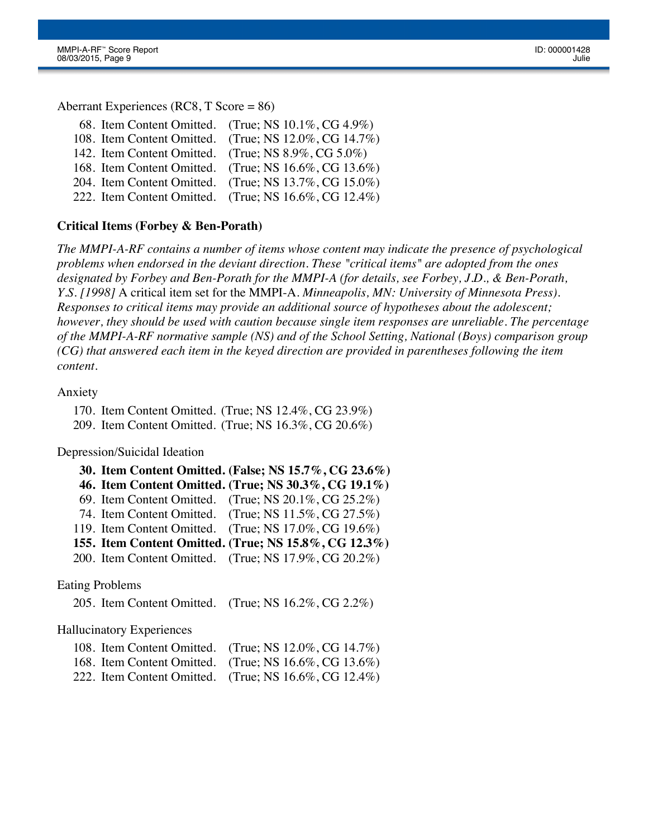Aberrant Experiences (RC8, T Score = 86)

|                                                     | 68. Item Content Omitted. (True; NS $10.1\%$ , CG $4.9\%$ ) |
|-----------------------------------------------------|-------------------------------------------------------------|
|                                                     | 108. Item Content Omitted. (True; NS 12.0%, CG 14.7%)       |
| 142. Item Content Omitted. (True; NS 8.9%, CG 5.0%) |                                                             |
|                                                     | 168. Item Content Omitted. (True; NS 16.6%, CG 13.6%)       |
|                                                     | 204. Item Content Omitted. (True; NS 13.7%, CG 15.0%)       |
|                                                     | 222. Item Content Omitted. (True; NS 16.6%, CG 12.4%)       |
|                                                     |                                                             |

#### **Critical Items (Forbey & Ben-Porath)**

*The MMPI-A-RF contains a number of items whose content may indicate the presence of psychological problems when endorsed in the deviant direction. These "critical items" are adopted from the ones designated by Forbey and Ben-Porath for the MMPI-A (for details, see Forbey, J.D., & Ben-Porath, Y.S. [1998]* A critical item set for the MMPI-A. *Minneapolis, MN: University of Minnesota Press). Responses to critical items may provide an additional source of hypotheses about the adolescent; however, they should be used with caution because single item responses are unreliable. The percentage of the MMPI-A-RF normative sample (NS) and of the School Setting, National (Boys) comparison group (CG) that answered each item in the keyed direction are provided in parentheses following the item content.*

#### Anxiety

170. Item Content Omitted. (True; NS 12.4%, CG 23.9%) 209. Item Content Omitted. (True; NS 16.3%, CG 20.6%)

Depression/Suicidal Ideation

|                                                                                | 30. Item Content Omitted. (False; NS 15.7%, CG 23.6%) |
|--------------------------------------------------------------------------------|-------------------------------------------------------|
|                                                                                | 46. Item Content Omitted. (True; NS 30.3%, CG 19.1%)  |
|                                                                                | 69. Item Content Omitted. (True; NS 20.1%, CG 25.2%)  |
|                                                                                | 74. Item Content Omitted. (True; NS 11.5%, CG 27.5%)  |
|                                                                                | 119. Item Content Omitted. (True; NS 17.0%, CG 19.6%) |
|                                                                                | 155. Item Content Omitted. (True; NS 15.8%, CG 12.3%) |
|                                                                                | 200. Item Content Omitted. (True; NS 17.9%, CG 20.2%) |
|                                                                                |                                                       |
| $\mathbf{L} = \mathbf{D} \cup \mathbf{L} \mathbf{1}$ . The set of $\mathbf{L}$ |                                                       |

#### Eating Problems

205. Item Content Omitted. (True; NS 16.2%, CG 2.2%)

Hallucinatory Experiences

| 108. Item Content Omitted. (True; NS $12.0\%$ , CG $14.7\%$ ) |
|---------------------------------------------------------------|
| 168. Item Content Omitted. (True; NS 16.6%, CG 13.6%)         |
| 222. Item Content Omitted. (True; NS $16.6\%$ , CG $12.4\%$ ) |